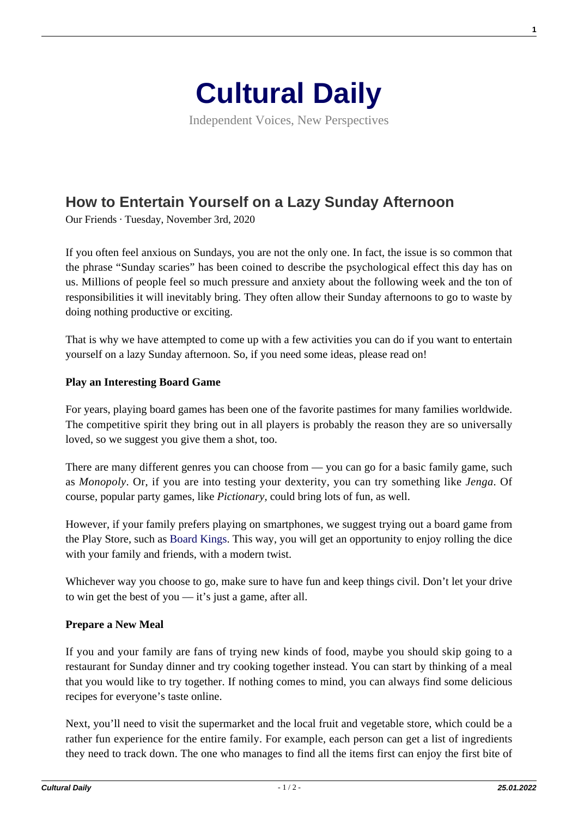

Independent Voices, New Perspectives

# **[How to Entertain Yourself on a Lazy Sunday Afternoon](https://culturaldaily.com/how-to-entertain-yourself-on-a-lazy-sunday-afternoon/)**

Our Friends · Tuesday, November 3rd, 2020

If you often feel anxious on Sundays, you are not the only one. In fact, the issue is so common that the phrase "Sunday scaries" has been coined to describe the psychological effect this day has on us. Millions of people feel so much pressure and anxiety about the following week and the ton of responsibilities it will inevitably bring. They often allow their Sunday afternoons to go to waste by doing nothing productive or exciting.

That is why we have attempted to come up with a few activities you can do if you want to entertain yourself on a lazy Sunday afternoon. So, if you need some ideas, please read on!

#### **Play an Interesting Board Game**

For years, playing board games has been one of the favorite pastimes for many families worldwide. The competitive spirit they bring out in all players is probably the reason they are so universally loved, so we suggest you give them a shot, too.

There are many different genres you can choose from — you can go for a basic family game, such as *Monopoly*. Or, if you are into testing your dexterity, you can try something like *Jenga*. Of course, popular party games, like *Pictionary,* could bring lots of fun, as well.

However, if your family prefers playing on smartphones, we suggest trying out a board game from the Play Store, such as [Board Kings.](https://play.google.com/store/apps/details?id=com.jellybtn.boardkings&hl=en) This way, you will get an opportunity to enjoy rolling the dice with your family and friends, with a modern twist.

Whichever way you choose to go, make sure to have fun and keep things civil. Don't let your drive to win get the best of you — it's just a game, after all.

### **Prepare a New Meal**

If you and your family are fans of trying new kinds of food, maybe you should skip going to a restaurant for Sunday dinner and try cooking together instead. You can start by thinking of a meal that you would like to try together. If nothing comes to mind, you can always find some delicious recipes for everyone's taste online.

Next, you'll need to visit the supermarket and the local fruit and vegetable store, which could be a rather fun experience for the entire family. For example, each person can get a list of ingredients they need to track down. The one who manages to find all the items first can enjoy the first bite of **1**